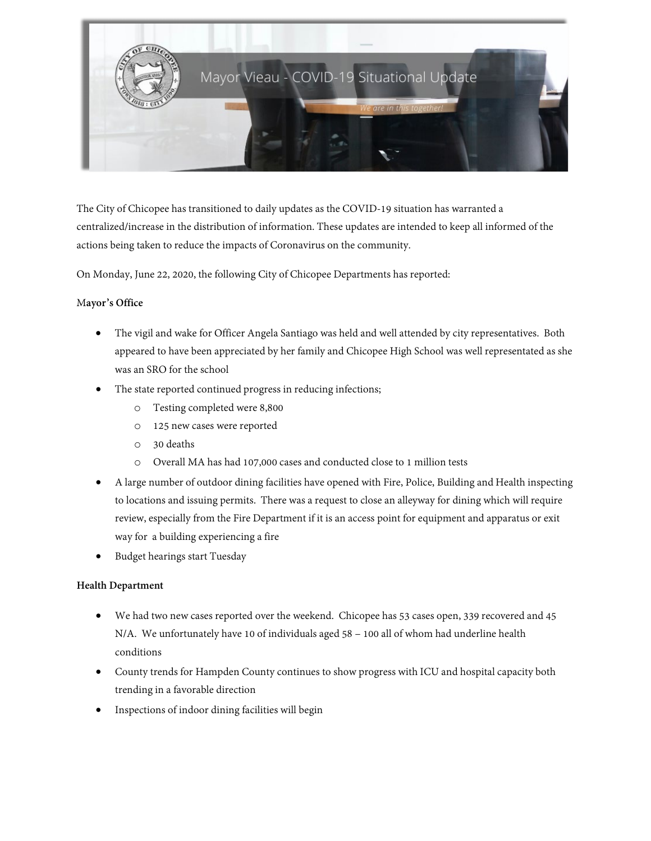

The City of Chicopee has transitioned to daily updates as the COVID-19 situation has warranted a centralized/increase in the distribution of information. These updates are intended to keep all informed of the actions being taken to reduce the impacts of Coronavirus on the community.

On Monday, June 22, 2020, the following City of Chicopee Departments has reported:

# M**ayor's Office**

- The vigil and wake for Officer Angela Santiago was held and well attended by city representatives. Both appeared to have been appreciated by her family and Chicopee High School was well representated as she was an SRO for the school
- The state reported continued progress in reducing infections;
	- o Testing completed were 8,800
	- o 125 new cases were reported
	- o 30 deaths
	- o Overall MA has had 107,000 cases and conducted close to 1 million tests
- A large number of outdoor dining facilities have opened with Fire, Police, Building and Health inspecting to locations and issuing permits. There was a request to close an alleyway for dining which will require review, especially from the Fire Department if it is an access point for equipment and apparatus or exit way for a building experiencing a fire
- Budget hearings start Tuesday

# **Health Department**

- We had two new cases reported over the weekend. Chicopee has 53 cases open, 339 recovered and 45 N/A. We unfortunately have 10 of individuals aged 58 – 100 all of whom had underline health conditions
- County trends for Hampden County continues to show progress with ICU and hospital capacity both trending in a favorable direction
- Inspections of indoor dining facilities will begin